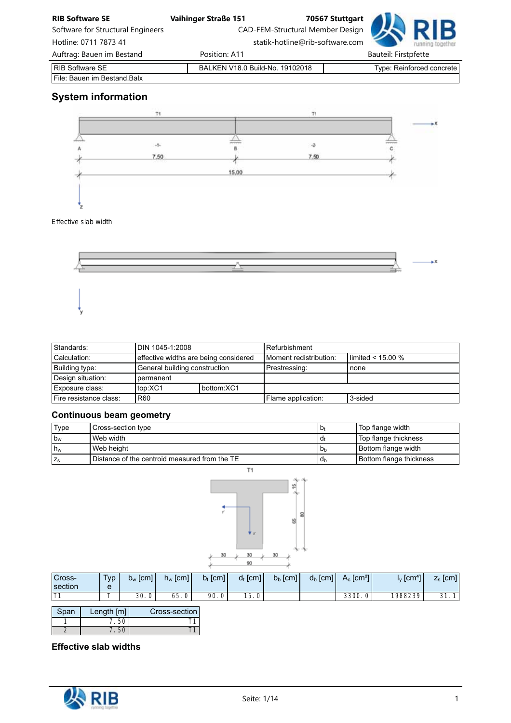| <b>RIB Software SE</b>            | <b>Vaihinger Straße 151</b>     | 70567 Stuttgart                  |                                  |
|-----------------------------------|---------------------------------|----------------------------------|----------------------------------|
| Software for Structural Engineers |                                 | CAD-FEM-Structural Member Design |                                  |
| Hotline: 0711 7873 41             |                                 | statik-hotline@rib-software.com  |                                  |
| Auftrag: Bauen im Bestand         | Position: A11                   |                                  | <b>Bauteil: Firstpfette</b>      |
| <b>RIB Software SE</b>            | BALKEN V18.0 Build-No. 19102018 |                                  | <b>Type: Reinforced concrete</b> |
| File: Bauen im Bestand. Balx      |                                 |                                  |                                  |

# System information



## *Effective slab width*



| Standards:             | I DIN 1045-1:2008                     |            | l Refurbishment        |                        |  |  |  |
|------------------------|---------------------------------------|------------|------------------------|------------------------|--|--|--|
| Calculation:           | effective widths are being considered |            | Moment redistribution: | I limited $< 15.00 \%$ |  |  |  |
| Building type:         | General building construction         |            | Prestressing:          | none                   |  |  |  |
| Design situation:      | <b>permanent</b>                      |            |                        |                        |  |  |  |
| Exposure class:        | top:XC1                               | bottom:XC1 |                        |                        |  |  |  |
| Fire resistance class: | <b>R60</b>                            |            | Flame application:     | 3-sided                |  |  |  |

# Continuous beam geometry

| Type        | Cross-section type                                | $D_1$            | Top flange width        |
|-------------|---------------------------------------------------|------------------|-------------------------|
| $b_w$       | Web width                                         | l d <del>ı</del> | Top flange thickness    |
| $h_w$       | Web height                                        | <b>D</b> h       | Bottom flange width     |
| $Z_{\rm S}$ | l Distance of the centroid measured from the TE l | <b>d</b> h       | Bottom flange thickness |



| Cross-<br>section | T <sub>VP</sub><br>e | $b_w$ [cm] | $h_w$ [cm] | $b_t$ [cm] | $d_t$ [cm]     | $b_b$ [cm] | $d_b$ [cm] | $A_c$ [cm <sup>2</sup> ] | $I_{\rm v}$ [cm <sup>41</sup> | <b>f</b> cml<br>-<br>$\mathsf{L}_\mathsf{S}$ |
|-------------------|----------------------|------------|------------|------------|----------------|------------|------------|--------------------------|-------------------------------|----------------------------------------------|
|                   | -                    | 30.<br>0   | 65.<br>0   | 90.        | 15<br>ູບ.<br>ັ |            |            | 3300.0                   | 1988239                       | 21<br>1 <sup>1</sup><br><u>JI.</u>           |

| Span | Length $[m]$ | Cross-section |
|------|--------------|---------------|
|      |              |               |
|      |              |               |

Effective slab widths

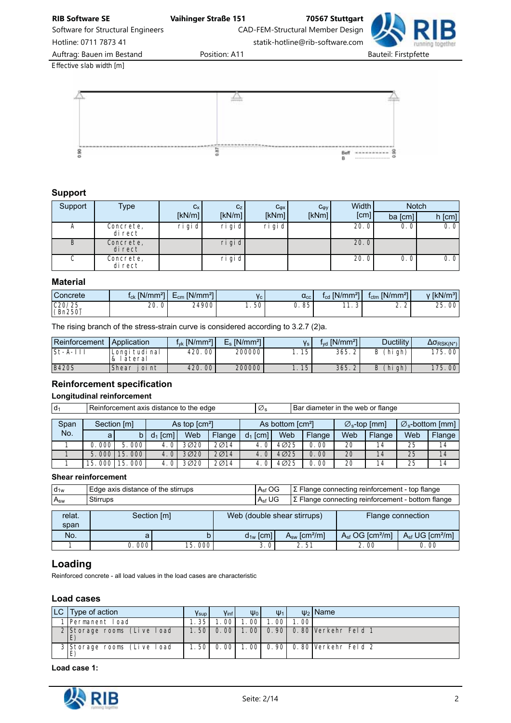Software for Structural Engineers CAD-FEM-Structural Member Design Hotline: 0711 7873 41 statik-hotline@rib-software.com



*Effective slab width [m]*



## Support

| Support | Type                 | $C_X$     | C <sub>Z</sub> | $C_{\phi X}$ | $C_{\phi y}$ | Width I | <b>Notch</b> |          |  |
|---------|----------------------|-----------|----------------|--------------|--------------|---------|--------------|----------|--|
|         |                      | [kN/m]    | [kN/m]         | [kNm]        | [kNm]        | [cm]    | ba [cm]      | $h$ [cm] |  |
| A       | Concrete,<br>di rect | $ri$ gi d | ri gi d        | ri gi d      |              | 20.0    | 0.0          | 0.0      |  |
| B       | Concrete,<br>di rect |           | $ri$ gi d      |              |              | 20.0    |              |          |  |
| ◡       | Concrete,<br>di rect |           | ri gi d        |              |              | 20.0    | 0.0          | 0.01     |  |

#### Material

| Concrete          | $1_{ck}$ [N/mm <sup>21</sup> | $E_{cm}$ [N/mm <sup>2]</sup> |                  | $\alpha_{\rm cc}$ | $f_{\rm cd}$ [N/mm <sup>21</sup> | [N/mm <sup>2</sup> ]<br>Ictm | $\sqrt{kN/m^3}$ |
|-------------------|------------------------------|------------------------------|------------------|-------------------|----------------------------------|------------------------------|-----------------|
| C20/25<br>(Bn250) | 20.0                         | 24900                        | .50 <sup>1</sup> | J.85              | - -<br>ັ                         | $\sim$<br>ے . ۔              | 25.00<br>つに     |

The rising branch of the stress-strain curve is considered according to 3.2.7 (2)a.

| ∣Reinforcement_ | l Application             | $f_{\text{vk}}$ [N/mm <sup>2</sup> ] | $E_s$ [N/mm <sup>2</sup> ] | V <sub>s</sub> | $f_{\text{yd}}$ [N/mm <sup>2</sup> ] | <b>Ductility</b> | $\Delta \sigma_{RSK(N^*)}$ |
|-----------------|---------------------------|--------------------------------------|----------------------------|----------------|--------------------------------------|------------------|----------------------------|
| $ St-A-II $     | Longi tudi nal<br>lateral | 420.00                               | 200000                     | . 15           | 365.2                                | (hi gh)<br>B     | 175.00                     |
| <b>B420S</b>    | Shear<br>i oi nt          | 420, 00                              | 200000                     | .15            | 365.2                                | (hi gh)<br>B     | 175.00                     |

## Reinforcement specification

#### Longitudinal reinforcement

| $ d_1$ | Reinforcement axis distance to the edge |        |            |      |        |            |                                                             | Bar diameter in the web or flange |     |        |     |                                    |  |  |
|--------|-----------------------------------------|--------|------------|------|--------|------------|-------------------------------------------------------------|-----------------------------------|-----|--------|-----|------------------------------------|--|--|
| Span   | As top $\text{[cm}^2$<br>Section [m]    |        |            |      |        |            | As bottom [cm <sup>2</sup> ]<br>$\varnothing_{s}$ -top [mm] |                                   |     |        |     | $\varnothing_{\rm s}$ -bottom [mm] |  |  |
| No.    | a                                       | b      | $d_1$ [cm] | Web  | Flange | $d_1$ [cm] | Web                                                         | Flange                            | Web | Flange | Web | Flange                             |  |  |
|        | 0.000                                   | 5.000  | 4.0        | 3020 | 2014   | 4.0        | 4025                                                        | 0.00                              | 20  | 14     | 25  | 14                                 |  |  |
|        | 5.0001                                  | 15.000 | 4.0        | 3020 | 2014   | 4.0        | 4025                                                        | 0.00                              | 20  | 14     | 25  | 14                                 |  |  |
|        | .000<br>15                              | 15.000 | 4.0        | 3Ø20 | 2014   | 4.0        | 4Ø25                                                        | 0.00                              | 20  | 14     | 25  | 14                                 |  |  |

#### Shear reinforcement

| $d_{1w}$       |             | Edge axis distance of the stirrups |  |               |                               | $\Sigma$ Flange connecting reinforcement - top flange    |                                    |  |  |
|----------------|-------------|------------------------------------|--|---------------|-------------------------------|----------------------------------------------------------|------------------------------------|--|--|
| $A_{sw}$       | Stirrups    |                                    |  | $A_{sf}$ UG   |                               | $\Sigma$ Flange connecting reinforcement - bottom flange |                                    |  |  |
| relat.<br>span | Section [m] |                                    |  |               | Web (double shear stirrups)   | Flange connection                                        |                                    |  |  |
| No.            |             |                                    |  | $d_{1w}$ [cm] | $A_{sw}$ [cm <sup>2</sup> /m] | $A_{sf}$ OG [cm <sup>2</sup> /m]                         | $Asf \, \text{UG [cm}^2/\text{m}]$ |  |  |
|                | 0.000       | 15.000                             |  | 3.01          | 2.51                          | 2.00                                                     | 0.00                               |  |  |

## Loading

Reinforced concrete - all load values in the load cases are characteristic

## Load cases

| $ LC $ Type of action      | <b>Y</b> sup | Vinf   | $\Psi_0$ | $\Psi_1$ |      | $\psi_2$ Name                           |
|----------------------------|--------------|--------|----------|----------|------|-----------------------------------------|
| 1 Permanent Load           | 1.35         | . OO I | 1.001    | 1.001    | 1.00 |                                         |
| 2 Storage rooms (Live load |              |        |          |          |      | 1.50 0.00 1.00 0.90 0.80 Verkehr Feld 1 |
| 3 Storage rooms (Live load |              |        |          |          |      | 1.50 0.00 1.00 0.90 0.80 Verkehr Feld 2 |

Load case 1:

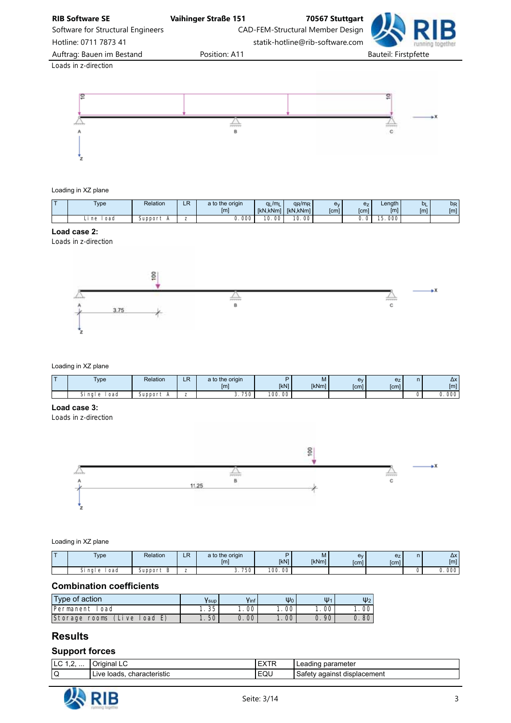

Software for Structural Engineers **CAD-FEM-Structural Member Design** 

Hotline: 0711 7873 41 statik-hotline@rib-software.com

Auftrag: Bauen im Bestand **Position: A11** Bauteil: Firstpfette

*Loads in z-direction*



#### Loading in XZ plane

| $\sim$ | <b>Type</b> | Relation | D<br>-- | a to the origin<br>[ <sub>m</sub> ] | $q_L/m_L$<br><b>IkN.kNml</b> | $q_R/m_R$<br><b>IkN.kNml</b> | e۱<br>[cm] | e <sub>z</sub><br>[cm] | Length<br>[m] | <b>b</b> L<br>[m] | bR<br>[m] |
|--------|-------------|----------|---------|-------------------------------------|------------------------------|------------------------------|------------|------------------------|---------------|-------------------|-----------|
|        | oad<br>ne   | Jupport  |         | 000                                 | 00<br>10.                    | 10<br>00 <sub>1</sub>        |            |                        | 000<br>ັ      |                   |           |

### Load case 2:

*Loads in z-direction*



#### Loading in XZ plane

| $-$ | Type<br>,,                      | Relation | D<br>LR       | a to the origin<br>$\mathsf{m}$ | <b>IkN1</b>                  | ΙVΙ<br><b>IkNml</b> | $-1$ v<br><b>f</b> cm <sub>1</sub> | e <sub>z</sub><br>[cm] | $\Delta x$<br>[m]          |
|-----|---------------------------------|----------|---------------|---------------------------------|------------------------------|---------------------|------------------------------------|------------------------|----------------------------|
|     | <b>.</b><br>oad<br>i nal<br>ا ت | $sumer+$ | -<br><u>_</u> | 750<br>ັ                        | $\sim$<br>$\sim$<br>vu<br>vv |                     |                                    |                        | $\sim$<br>υ.<br><b>UUC</b> |

#### Load case 3:

*Loads in z-direction*



Loading in XZ plane

| - | Type<br>$\overline{\phantom{a}}$ | Relation | D<br><b>ALL</b> | a to the origin<br>[m | [kN]       | M'<br><b>IkNml</b> | – v<br>[cm] | <b>f</b> cm <sub>1</sub> | $\Delta x$<br>[m] |
|---|----------------------------------|----------|-----------------|-----------------------|------------|--------------------|-------------|--------------------------|-------------------|
|   | oad<br>ngl c د                   | Support  | -<br><u>_</u>   | 3.750                 | 00<br>100. |                    |             |                          | 0.000             |

#### Combination coefficients

| Type of action                | Ysup | Vinf | $\Psi_0$ | Ψ        | $\Psi$ <sub>2</sub> |
|-------------------------------|------|------|----------|----------|---------------------|
| Permanent<br>oad              | 1.35 | 00   | 00       | 00       | 00                  |
| Storage<br>oad<br>rooms<br>ve | 50   | 00   | $.00+$   | 90<br>υ. | 80                  |

## Results

## Support forces

| .<br>.<br>. . | ridina<br>l Idl<br>--                 | ---<br>-<br>. | ≀arameter<br>nar<br>. sauli lui<br>. . |
|---------------|---------------------------------------|---------------|----------------------------------------|
| v             | <b>IVE</b><br>characteristic<br>'oads | EQU           | . .<br>∵aɑainst<br>disr<br>placement   |

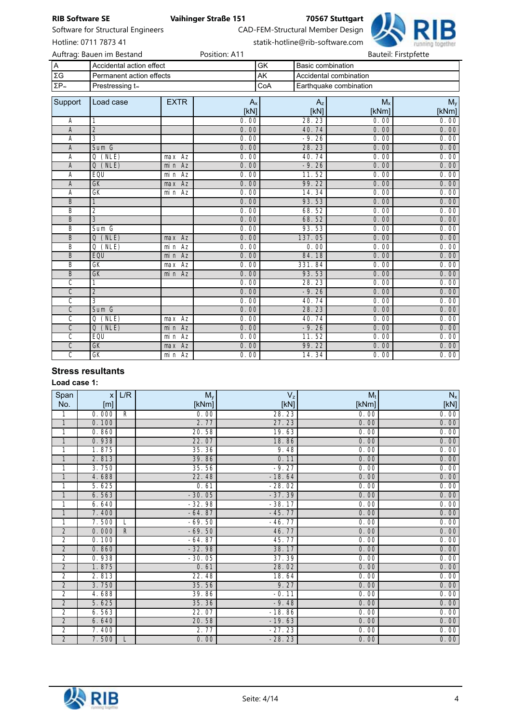| <b>RIB Software SE</b>  |                                   |             | <b>Vaihinger Straße 151</b> |           |                          | 70567 Stuttgart                  |              |                      |
|-------------------------|-----------------------------------|-------------|-----------------------------|-----------|--------------------------|----------------------------------|--------------|----------------------|
|                         | Software for Structural Engineers |             |                             |           |                          | CAD-FEM-Structural Member Design |              |                      |
|                         | Hotline: 0711 7873 41             |             |                             |           |                          | statik-hotline@rib-software.com  |              |                      |
|                         | Auftrag: Bauen im Bestand         |             | Position: A11               |           |                          |                                  |              | Bauteil: Firstpfette |
| A                       | Accidental action effect          |             |                             | GK        | <b>Basic combination</b> |                                  |              |                      |
| $\Sigma \mathsf{G}$     | Permanent action effects          |             |                             | <b>AK</b> |                          | Accidental combination           |              |                      |
| $\Sigma P_{\infty}$     | Prestressing t.                   |             |                             | CoA       |                          | Earthquake combination           |              |                      |
|                         |                                   |             |                             |           |                          |                                  |              |                      |
| Support                 | Load case                         | <b>EXTR</b> | $A_{x}$                     |           | $A_{z}$                  |                                  | $M_{x}$      | $M_{y}$              |
|                         |                                   |             | [KN]                        |           | [kN]                     |                                  | [kNm]        | [kNm]                |
| Α                       | 1                                 |             | 0.00                        |           | 28.23                    |                                  | 0.00         | 0.00                 |
| A                       | $\overline{2}$                    |             | 0.00                        |           | 40.74                    |                                  | 0.00         | 0.00                 |
| A                       | 3<br>Sum G                        |             | 0.00<br>0.00                |           | $-9.26$                  |                                  | 0.00<br>0.00 | 0.00<br>0.00         |
| A<br>A                  | $Q$ (NLE)                         | max Az      | 0.00                        |           | 28.23<br>40.74           |                                  | 0.00         | 0.00                 |
| A                       | $Q$ (NLE)                         | min Az      | 0.00                        |           | $-9.26$                  |                                  | 0.00         | 0.00                 |
| A                       | EQU                               | min Az      | 0.00                        |           | 11.52                    |                                  | 0.00         | 0.00                 |
| $\overline{A}$          | GK                                | max Az      | 0.00                        |           | 99.22                    |                                  | 0.00         | 0.00                 |
| Α                       | $\overline{GK}$                   | min Az      | 0.00                        |           | 14.34                    |                                  | 0.00         | 0.00                 |
| B                       | 1                                 |             | 0.00                        |           | 93.53                    |                                  | 0.00         | 0.00                 |
| B                       | 2                                 |             | 0.00                        |           | 68.52                    |                                  | 0.00         | 0.00                 |
| B                       | 3                                 |             | 0.00                        |           | 68.52                    |                                  | 0.00         | 0.00                 |
| B                       | Sum G                             |             | 0.00                        |           | 93.53                    |                                  | 0.00         | 0.00                 |
| B                       | $Q$ (NLE)                         | max Az      | 0.00                        |           | 137.05                   |                                  | 0.00         | 0.00                 |
| B                       | $Q$ (NLE)                         | min Az      | 0.00                        |           | 0.00                     |                                  | 0.00         | 0.00                 |
| B                       | EQU                               | min Az      | 0.00                        |           | 84.18                    |                                  | 0.00         | 0.00                 |
| B                       | GK                                | $max$ $Az$  | 0.00                        |           | 331.84                   |                                  | 0.00         | 0.00                 |
| B                       | GK                                | min Az      | 0.00                        |           | 93.53                    |                                  | 0.00         | 0.00                 |
| C                       | 1                                 |             | 0.00                        |           | 28.23                    |                                  | 0.00         | 0.00                 |
| $\overline{C}$          | $\overline{2}$                    |             | 0.00                        |           | $-9.26$                  |                                  | 0.00         | 0.00                 |
| $\overline{\mathsf{c}}$ | $\overline{3}$                    |             | 0.00                        |           | 40.74                    |                                  | 0.00         | 0.00                 |
| $\overline{C}$          | Sum G                             |             | 0.00                        |           | 28.23                    |                                  | 0.00         | 0.00                 |
| $\overline{\mathsf{c}}$ | $Q$ (NLE)                         | max Az      | 0.00                        |           | 40.74                    |                                  | 0.00         | 0.00                 |
| $\overline{C}$          | Q(NLE)                            | min Az      | 0.00                        |           | $-9.26$                  |                                  | 0.00         | 0.00                 |
| C                       | EQU                               | min Az      | 0.00                        |           | 11.52                    |                                  | 0.00         | 0.00                 |
| $\overline{C}$          | <b>GK</b>                         | max Az      | 0.00                        |           | 99.22                    |                                  | 0.00         | 0.00                 |
| $\overline{\mathsf{c}}$ | GK                                | min Az      | 0.00                        |           | 14.34                    |                                  | 0.00         | 0.00                 |

## Stress resultants

Load case 1:

| Span                    | $\mathsf{x}$ | L/R          | $M_y$    | $\mathsf{V}_\mathsf{z}$ | $M_{\rm t}$ | $N_{\scriptscriptstyle X}$ |
|-------------------------|--------------|--------------|----------|-------------------------|-------------|----------------------------|
| No.                     | [m]          |              | [kNm]    | [KN]                    | [kNm]       | [KN]                       |
| 1                       | 0.000        | R            | 0.00     | 28.23                   | 0.00        | 0.00                       |
| $\mathbf{1}$            | 0.100        |              | 2.77     | 27.23                   | 0.00        | 0.00                       |
| 1                       | 0.860        |              | 20.58    | 19.63                   | 0.00        | 0.00                       |
| $\mathbf{1}$            | 0.938        |              | 22.07    | 18.86                   | 0.00        | 0.00                       |
| 1                       | 1.875        |              | 35.36    | 9.48                    | 0.00        | 0.00                       |
| $\mathbf{1}$            | 2.813        |              | 39.86    | 0.11                    | 0.00        | 0.00                       |
| 1                       | 3.750        |              | 35.56    | $-9.27$                 | 0.00        | 0.00                       |
| $\mathbf{1}$            | 4.688        |              | 22.48    | $-18.64$                | 0.00        | 0.00                       |
| 1                       | 5.625        |              | 0.61     | $-28.02$                | 0.00        | 0.00                       |
| $\mathbf{1}$            | 6.563        |              | $-30.05$ | $-37.39$                | 0.00        | 0.00                       |
| 1                       | 6.640        |              | $-32.98$ | $-38.17$                | 0.00        | 0.00                       |
| $\mathbf{1}$            | 7.400        |              | $-64.87$ | $-45.77$                | 0.00        | 0.00                       |
| 1                       | 7.500        | L            | $-69.50$ | $-46.77$                | 0.00        | 0.00                       |
| $\overline{2}$          | 0.000        | $\mathsf{R}$ | $-69.50$ | 46.77                   | 0.00        | 0.00                       |
| $\overline{\mathbf{c}}$ | 0.100        |              | $-64.87$ | 45.77                   | 0.00        | 0.00                       |
| $\overline{2}$          | 0.860        |              | $-32.98$ | 38.17                   | 0.00        | 0.00                       |
| $\overline{2}$          | 0.938        |              | $-30.05$ | 37.39                   | 0.00        | 0.00                       |
| $\overline{2}$          | 1.875        |              | 0.61     | 28.02                   | 0.00        | 0.00                       |
| $\overline{\mathbf{c}}$ | 2.813        |              | 22.48    | 18.64                   | 0.00        | 0.00                       |
| $\overline{2}$          | 3.750        |              | 35.56    | 9.27                    | 0.00        | 0.00                       |
| $\overline{2}$          | 4.688        |              | 39.86    | $-0.11$                 | 0.00        | 0.00                       |
| $\overline{2}$          | 5.625        |              | 35.36    | $-9.48$                 | 0.00        | 0.00                       |
| $\overline{\mathbf{c}}$ | 6.563        |              | 22.07    | $-18.86$                | 0.00        | 0.00                       |
| $\overline{2}$          | 6.640        |              | 20.58    | $-19.63$                | 0.00        | 0.00                       |
| $\overline{2}$          | 7.400        |              | 2.77     | $-27.23$                | 0.00        | 0.00                       |
| $\overline{2}$          | 7.500        | L            | 0.00     | $-28.23$                | 0.00        | 0.00                       |

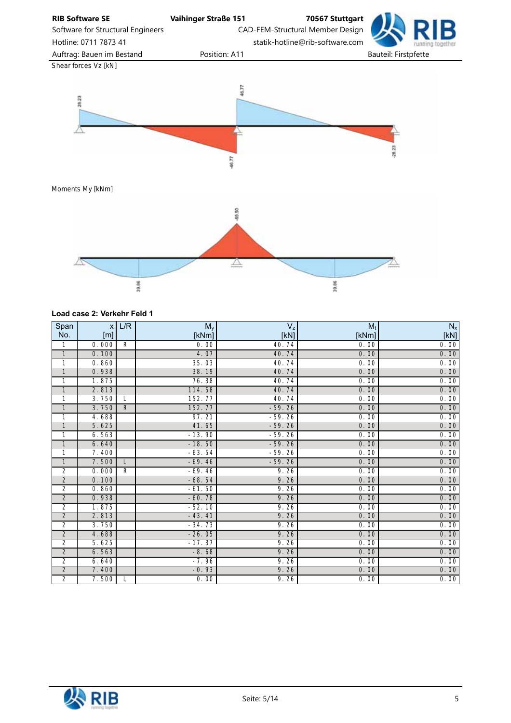

#### Load case 2: Verkehr Feld 1

| Span           | X     | L/R          | $M_y$    | $V_{z}$  | $M_t$ | $N_{\mathsf{x}}$ |
|----------------|-------|--------------|----------|----------|-------|------------------|
| No.            | [m]   |              | [kNm]    | [KN]     | [kNm] | [KN]             |
| 1              | 0.000 | R            | 0.00     | 40.74    | 0.00  | 0.00             |
| $\overline{1}$ | 0.100 |              | 4.07     | 40.74    | 0.00  | 0.00             |
| 1              | 0.860 |              | 35.03    | 40.74    | 0.00  | 0.00             |
| $\mathbf{1}$   | 0.938 |              | 38.19    | 40.74    | 0.00  | 0.00             |
| 1              | 1.875 |              | 76.38    | 40.74    | 0.00  | 0.00             |
| $\mathbf{1}$   | 2.813 |              | 114.58   | 40.74    | 0.00  | 0.00             |
| 1              | 3.750 | L            | 152.77   | 40.74    | 0.00  | 0.00             |
| $\mathbf{1}$   | 3.750 | $\mathsf{R}$ | 152.77   | $-59.26$ | 0.00  | 0.00             |
| 1              | 4.688 |              | 97.21    | $-59.26$ | 0.00  | 0.00             |
| $\mathbf{1}$   | 5.625 |              | 41.65    | $-59.26$ | 0.00  | 0.00             |
| 1              | 6.563 |              | $-13.90$ | $-59.26$ | 0.00  | 0.00             |
| $\mathbf{1}$   | 6.640 |              | $-18.50$ | $-59.26$ | 0.00  | 0.00             |
| 1              | 7.400 |              | $-63.54$ | $-59.26$ | 0.00  | 0.00             |
| $\mathbf{1}$   | 7.500 | L            | $-69.46$ | $-59.26$ | 0.00  | 0.00             |
| 2              | 0.000 | $\mathsf{R}$ | $-69.46$ | 9.26     | 0.00  | 0.00             |
| $\overline{2}$ | 0.100 |              | $-68.54$ | 9.26     | 0.00  | 0.00             |
| 2              | 0.860 |              | $-61.50$ | 9.26     | 0.00  | 0.00             |
| $\overline{2}$ | 0.938 |              | $-60.78$ | 9.26     | 0.00  | 0.00             |
| $\overline{2}$ | 1.875 |              | $-52.10$ | 9.26     | 0.00  | 0.00             |
| $\overline{2}$ | 2.813 |              | $-43.41$ | 9.26     | 0.00  | 0.00             |
| $\overline{2}$ | 3.750 |              | $-34.73$ | 9.26     | 0.00  | 0.00             |
| $\overline{2}$ | 4.688 |              | $-26.05$ | 9.26     | 0.00  | 0.00             |
| $\overline{2}$ | 5.625 |              | $-17.37$ | 9.26     | 0.00  | 0.00             |
| $\overline{2}$ | 6.563 |              | $-8.68$  | 9.26     | 0.00  | 0.00             |
| $\overline{2}$ | 6.640 |              | $-7.96$  | 9.26     | 0.00  | 0.00             |
| $\overline{2}$ | 7.400 |              | $-0.93$  | 9.26     | 0.00  | 0.00             |
| $\overline{2}$ | 7.500 | L            | 0.00     | 9.26     | 0.00  | 0.00             |

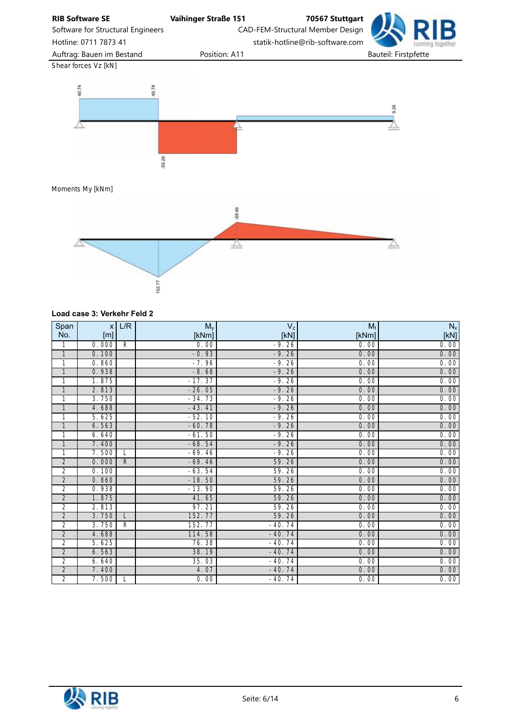RIB Software SE Vaihinger Straße 151 70567 Stuttgart Software for Structural Engineers CAD-FEM-Structural Member Design Hotline: 0711 7873 41 statik-hotline@rib-software.com Auftrag: Bauen im Bestand **Position: A11** Bauteil: Firstpfette *Shear forces Vz [kN]* 40.74 40.74 9.26  $-59.26$ 

*Moments My [kNm]*



#### Load case 3: Verkehr Feld 2

| Span           | x <sub>l</sub> | L/R         | $M_{y}$  | $V_{z}$  | $M_t$ | $N_{\mathsf{x}}$ |
|----------------|----------------|-------------|----------|----------|-------|------------------|
| No.            | [m]            |             | [kNm]    | [KN]     | [kNm] | [KN]             |
| 1              | 0.000          | R           | 0.00     | $-9.26$  | 0.00  | 0.00             |
| $\overline{1}$ | 0.100          |             | $-0.93$  | $-9.26$  | 0.00  | 0.00             |
| 1              | 0.860          |             | $-7.96$  | $-9.26$  | 0.00  | 0.00             |
| $\mathbf{1}$   | 0.938          |             | $-8.68$  | $-9.26$  | 0.00  | 0.00             |
| 1              | 1.875          |             | $-17.37$ | $-9.26$  | 0.00  | 0.00             |
| $\mathbf{1}$   | 2.813          |             | $-26.05$ | $-9.26$  | 0.00  | 0.00             |
| 1              | 3.750          |             | $-34.73$ | $-9.26$  | 0.00  | 0.00             |
| $\mathbf{1}$   | 4.688          |             | $-43.41$ | $-9.26$  | 0.00  | 0.00             |
| 1              | 5.625          |             | $-52.10$ | $-9.26$  | 0.00  | 0.00             |
| $\mathbf{1}$   | 6.563          |             | $-60.78$ | $-9.26$  | 0.00  | 0.00             |
| 1              | 6.640          |             | $-61.50$ | $-9.26$  | 0.00  | 0.00             |
| $\mathbf{1}$   | 7.400          |             | $-68.54$ | $-9.26$  | 0.00  | 0.00             |
| 1              | 7.500          | L           | $-69.46$ | $-9.26$  | 0.00  | 0.00             |
| $\overline{c}$ | 0.000          | $\mathsf R$ | $-69.46$ | 59.26    | 0.00  | 0.00             |
| 2              | 0.100          |             | $-63.54$ | 59.26    | 0.00  | 0.00             |
| $\overline{2}$ | 0.860          |             | $-18.50$ | 59.26    | 0.00  | 0.00             |
| 2              | 0.938          |             | $-13.90$ | 59.26    | 0.00  | 0.00             |
| $\overline{2}$ | 1.875          |             | 41.65    | 59.26    | 0.00  | 0.00             |
| 2              | 2.813          |             | 97.21    | 59.26    | 0.00  | 0.00             |
| $\overline{2}$ | 3.750          | L           | 152.77   | 59.26    | 0.00  | 0.00             |
| $\overline{2}$ | 3.750          | R           | 152.77   | $-40.74$ | 0.00  | 0.00             |
| $\overline{2}$ | 4.688          |             | 114.58   | $-40.74$ | 0.00  | 0.00             |
| $\overline{2}$ | 5.625          |             | 76.38    | $-40.74$ | 0.00  | 0.00             |
| $\overline{c}$ | 6.563          |             | 38.19    | $-40.74$ | 0.00  | 0.00             |
| $\overline{2}$ | 6.640          |             | 35.03    | $-40.74$ | 0.00  | 0.00             |
| $\overline{2}$ | 7.400          |             | 4.07     | $-40.74$ | 0.00  | 0.00             |
| $\overline{2}$ | 7.500          | L           | 0.00     | $-40.74$ | 0.00  | 0.00             |

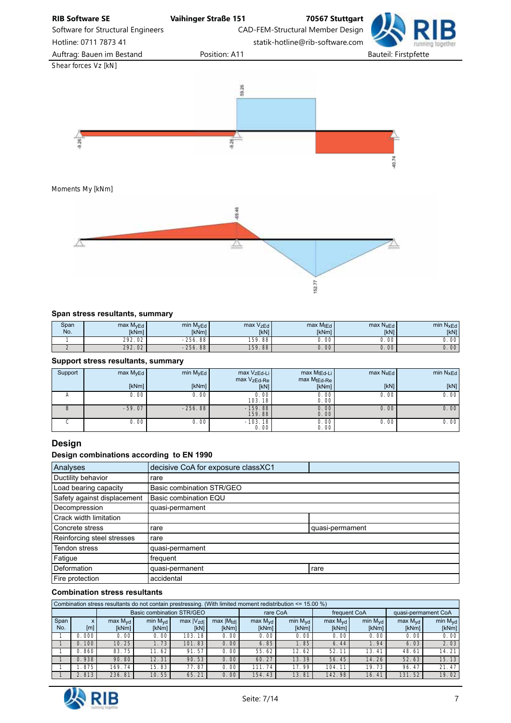

## Span stress resultants, summary

| Span<br>No. | max M <sub>vEd</sub><br><b>IkNml</b> | $min$ $MvEd$<br><b>IkNml</b> | max VzEd<br><b>IkN1</b> | $max M_t E_d$<br><b>IkNml</b> | max N <sub>xEd</sub><br><b>IKN1</b> | min N <sub>xEd</sub><br><b>IKN1</b> |
|-------------|--------------------------------------|------------------------------|-------------------------|-------------------------------|-------------------------------------|-------------------------------------|
|             | 292.<br>$\sim$<br>υz                 | $-256.$<br>.88               | 159.88                  | J.00                          | 00                                  | $\cap$<br>U.<br>- vu                |
|             | 292.<br>02                           | $-256.88$                    | 159.88                  | J.00 <sup>2</sup>             | 00 <sub>o</sub>                     | 00                                  |

152.77

#### Support stress resultants, summary

| Support | max M <sub>vEd</sub> | min M <sub>vEd</sub> | max VzEd-Li                    | max MtEd-Li  | $max N_{xEd}$ | min N <sub>x</sub> Ed |
|---------|----------------------|----------------------|--------------------------------|--------------|---------------|-----------------------|
|         |                      |                      | max VzEd-Re                    | max MtEd-Re  |               |                       |
|         | [kNm]                | [kNm]                | [KN]                           | [kNm]        | [KN]          | [KN]                  |
|         | 0.00                 | 0.00                 | 0.00<br>103.18                 | 0.00<br>0.00 | 0.00          | 0.00                  |
| B       | $-59.07$             | $-256.88$            | $-159.88$<br>159.88            | 0.00<br>0.00 | 0.001         | 0.00                  |
|         | 0.00                 | 0.00                 | $-103.18$<br>0.00 <sup>1</sup> | 0.00<br>0.00 | 0.00          | 0.00                  |

## Design

### Design combinations according to EN 1990

| Analyses                    | decisive CoA for exposure classXC1 |                 |
|-----------------------------|------------------------------------|-----------------|
| Ductility behavior          | rare                               |                 |
| Load bearing capacity       | Basic combination STR/GEO          |                 |
| Safety against displacement | Basic combination EQU              |                 |
| Decompression               | quasi-permament                    |                 |
| Crack width limitation      |                                    |                 |
| Concrete stress             | rare                               | quasi-permament |
| Reinforcing steel stresses  | rare                               |                 |
| Tendon stress               | quasi-permament                    |                 |
| Fatigue                     | frequent                           |                 |
| Deformation                 | quasi-permanent                    | rare            |
| Fire protection             | accidental                         |                 |

#### Combination stress resultants

|             | Combination stress resultants do not contain prestressing. (With limited moment redistribution $\leq 15.00\%$ ) |                              |                              |                          |                                  |                              |                              |                              |                              |                              |                              |  |  |  |
|-------------|-----------------------------------------------------------------------------------------------------------------|------------------------------|------------------------------|--------------------------|----------------------------------|------------------------------|------------------------------|------------------------------|------------------------------|------------------------------|------------------------------|--|--|--|
|             |                                                                                                                 |                              | Basic combination STR/GEO    |                          |                                  | rare CoA                     |                              | frequent CoA                 |                              | quasi-permament CoA          |                              |  |  |  |
| Span<br>No. | ⋏<br>[m]                                                                                                        | max M <sub>vd</sub><br>[kNm] | min $M_{\text{vd}}$<br>[kNm] | $max$ $ V_{zd} $<br>[kN] | $max$  M <sub>tdl</sub><br>[kNm] | max M <sub>vd</sub><br>[kNm] | min $M_{\text{vd}}$<br>[kNm] | max M <sub>vd</sub><br>[kNm] | min M <sub>vd</sub><br>[kNm] | max M <sub>vd</sub><br>[kNm] | min M <sub>vd</sub><br>[kNm] |  |  |  |
|             | 0.000                                                                                                           | 0. OO l                      | 0.00                         | 103.18                   | 0.00                             | 0.00                         | 0.00                         | 0.00                         | 0.00                         | 0.00                         | 0.00                         |  |  |  |
|             | 0.100                                                                                                           | 10.25                        | 1.73.                        | 101.83                   | 0.00                             | 6.85                         | 1.85                         | 6.44                         | .94 <sup>°</sup>             | 6.03                         | 2.03                         |  |  |  |
|             | 0.860                                                                                                           | 83.75                        | 11.62                        | 91.57                    | 0.00                             | 55.62                        | 12.62                        | 52.11                        | 13.41                        | 48.61                        | 14.21                        |  |  |  |
|             | 0.938                                                                                                           | 90.80                        | 12.31                        | 90.53                    | 0.00                             | 60.27                        | 13.39                        | 56.45                        | 14.26                        | 52.63                        | 15.13                        |  |  |  |
|             | .875                                                                                                            | 169.74                       | 15.83                        | 77.87                    | 0.00                             | 111.74                       | 17.99                        | 104.11                       | 19.73                        | 96.47                        | 21.47                        |  |  |  |
|             | 2.813                                                                                                           | 236.81                       | 10.55                        | 65.21                    | 0.00                             | 154.43                       | 13.81                        | 142.98                       | 16.41                        | 131.52                       | 19.02                        |  |  |  |

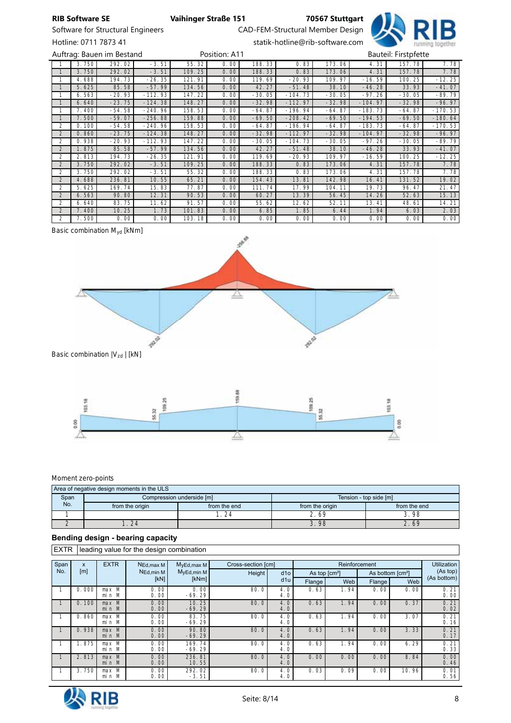Software for Structural Engineers CAD-FEM-Structural Member Design



Hotline: 0711 7873 41 statik-hotline@rib-software.com

|                |       | Auftrag: Bauen im Bestand |           |        | Position: A11 |          |           |          |           | Bauteil: Firstpfette |           |
|----------------|-------|---------------------------|-----------|--------|---------------|----------|-----------|----------|-----------|----------------------|-----------|
|                | 3.750 | 292.02                    | $-3.51$   | 55.32  | 0.00          | 188.33   | 0.83      | 173.06   | 4.31      | 157.78               | 7.78      |
|                | 3.750 | 292.02                    | $-3.51$   | 109.25 | 0.00          | 188.33   | 0.83      | 173.06   | 4.31      | 157.78               | 7.78      |
|                | 4.688 | 194.73                    | $-26.35$  | 121.91 | 0.00          | 119.69   | $-20.93$  | 109.97   | $-16.59$  | 100.25               | $-12.25$  |
|                | 5.625 | 85.58                     | $-57.99$  | 134.56 | 0.00          | 42.27    | $-51.48$  | 38.10    | $-46.28$  | 33.93                | $-41.07$  |
|                | 6.563 | $-20.93$                  | $-112.93$ | 147.22 | 0.00          | $-30.05$ | $-104.73$ | $-30.05$ | $-97.26$  | $-30.05$             | $-89.79$  |
|                | 6.640 | $-23.75$                  | $-124.38$ | 148.27 | 0.00          | $-32.98$ | $-112.97$ | $-32.98$ | $-104.97$ | $-32.98$             | $-96.97$  |
|                | 7.400 | $-54.58$                  | $-240.96$ | 158.53 | 0.00          | $-64.87$ | $-196.94$ | $-64.87$ | $-183.73$ | $-64.87$             | $-170.53$ |
|                | 7.500 | $-59.07$                  | $-256.88$ | 159.88 | 0.00          | $-69.50$ | $-208.42$ | $-69.50$ | $-194.53$ | $-69.50$             | $-180.64$ |
| 2              | 0.100 | $-54.58$                  | $-240.96$ | 158.53 | 0.00          | $-64.87$ | $-196.94$ | $-64.87$ | $-183.73$ | $-64.87$             | $-170.53$ |
| $\overline{2}$ | 0.860 | $-23.75$                  | $-124.38$ | 148.27 | 0.00          | $-32.98$ | $-112.97$ | $-32.98$ | $-104.97$ | $-32.98$             | $-96.97$  |
| $\mathcal{P}$  | 0.938 | $-20.93$                  | $-112.93$ | 147.22 | 0.00          | $-30.05$ | $-104.73$ | $-30.05$ | $-97.26$  | $-30.05$             | $-89.79$  |
| $\overline{2}$ | 1.875 | 85.58                     | $-57.99$  | 134.56 | 0.00          | 42.27    | $-51.48$  | 38.10    | $-46.28$  | 33.93                | $-41.07$  |
| 2              | 2.813 | 194.73                    | $-26.35$  | 121.91 | 0.00          | 119.69   | $-20.93$  | 109.97   | $-16.59$  | 100.25               | $-12.25$  |
| $\overline{2}$ | 3.750 | 292.02                    | $-3.51$   | 109.25 | 0.00          | 188.33   | 0.83      | 173.06   | 4.31      | 157.78               | 7.78      |
| 2              | 3.750 | 292.02                    | $-3.51$   | 55.32  | 0.00          | 188.33   | 0.83      | 173.06   | 4.31      | 157.78               | 7.78      |
| $\mathfrak{D}$ | 4.688 | 236.81                    | 10.55     | 65.21  | 0.00          | 154.43   | 13.81     | 142.98   | 16.41     | 131.52               | 19.02     |
| $\mathfrak{D}$ | 5.625 | 169.74                    | 15.83     | 77.87  | 0.00          | 111.74   | 17.99     | 104.11   | 19.73     | 96.47                | 21.47     |
| $\overline{2}$ | 6.563 | 90.80                     | 12.31     | 90.53  | 0.00          | 60.27    | 13.39     | 56.45    | 14.26     | 52.63                | 15.13     |
| $\mathcal{P}$  | 6.640 | 83.75                     | 11.62     | 91.57  | 0.00          | 55.62    | 12.62     | 52.11    | 13.41     | 48.61                | 14.21     |
| $\overline{2}$ | 7.400 | 10.25                     | 1.73      | 101.83 | 0.00          | 6.85     | 1.85      | 6.44     | 1.94      | 6.03                 | 2.03      |
| 2              | 7.500 | 0.00                      | 0.00      | 103.18 | 0.00          | 0.00     | 0.00      | 0.00     | 0.00      | 0.00                 | 0.00      |

## *Basic combination Myd [kNm]*





#### *Moment zero-points*

|      | Area of negative design moments in the ULS |                           |                        |              |  |  |  |  |  |  |  |  |  |
|------|--------------------------------------------|---------------------------|------------------------|--------------|--|--|--|--|--|--|--|--|--|
| Span |                                            | Compression underside [m] | Tension - top side [m] |              |  |  |  |  |  |  |  |  |  |
| No.  | from the origin                            | from the end              | from the origin        | from the end |  |  |  |  |  |  |  |  |  |
|      |                                            | 24                        | 2.69                   | 3.98         |  |  |  |  |  |  |  |  |  |
|      | 24                                         |                           | 3.98                   | 2.69         |  |  |  |  |  |  |  |  |  |

#### Bending design - bearing capacity

EXTR leading value for the design combination

| Span | X     | <b>EXTR</b>      | NEd, max M   | $M_VEd, max M$     | Cross-section [cm] |            |                       | Reinforcement |                              |       | <b>Utilization</b> |  |
|------|-------|------------------|--------------|--------------------|--------------------|------------|-----------------------|---------------|------------------------------|-------|--------------------|--|
| No.  | [m]   |                  | NEd, min M   | $M_VEd, min M$     | Height             | d10        | As top $\text{[cm}^2$ |               | As bottom [cm <sup>2</sup> ] |       | (As top)           |  |
|      |       |                  | [KN]         | [kNm]              |                    | d1u        | Flange                | Web           | Flange                       | Web   | (As bottom)        |  |
|      | 0.000 | $max$ M<br>min M | 0.00<br>0.00 | 0.00<br>$-69.29$   | 80.0               | 4.0<br>4.0 | 0.63                  | 1.94          | 0.00                         | 0.00  | 0.21<br>0.00       |  |
|      | 0.100 | $max$ M<br>min M | 0.00<br>0.00 | 10.25<br>$-69.29$  | 80.0               | 4.0<br>4.0 | 0.63                  | 1.94          | 0.00                         | 0.37  | 0.21<br>0.02       |  |
|      | 0.860 | max M<br>min M   | 0.00<br>0.00 | 83.75<br>$-69.29$  | 80.0               | 4.0<br>4.0 | 0.63                  | 1.94          | 0.00                         | 3.07  | 0.21<br>0.16       |  |
|      | 0.938 | max M<br>min M   | 0.00<br>0.00 | 90.80<br>$-69.29$  | 80.0               | 4.0<br>4.0 | 0.63                  | 1.94          | 0.00                         | 3.33  | 0.21<br>0.17       |  |
|      | 1.875 | max M<br>min M   | 0.00<br>0.00 | 169.74<br>$-69.29$ | 80.0               | 4.0<br>4.0 | 0.63                  | 1.94          | 0.00                         | 6.29  | 0.21<br>0.33       |  |
|      | 2.813 | $max$ M<br>min M | 0.00<br>0.00 | 236.81<br>10.55    | 80.0               | 4.0<br>4.0 | 0.00                  | 0.00          | 0.00                         | 8.84  | 0.00<br>0.46       |  |
|      | 3.750 | $max$ M<br>min M | 0.00<br>0.00 | 292.02<br>$-3.51$  | 80.0               | 4.0<br>4.0 | 0.03                  | 0.09          | 0.00                         | 10.96 | 0.01<br>0.56       |  |

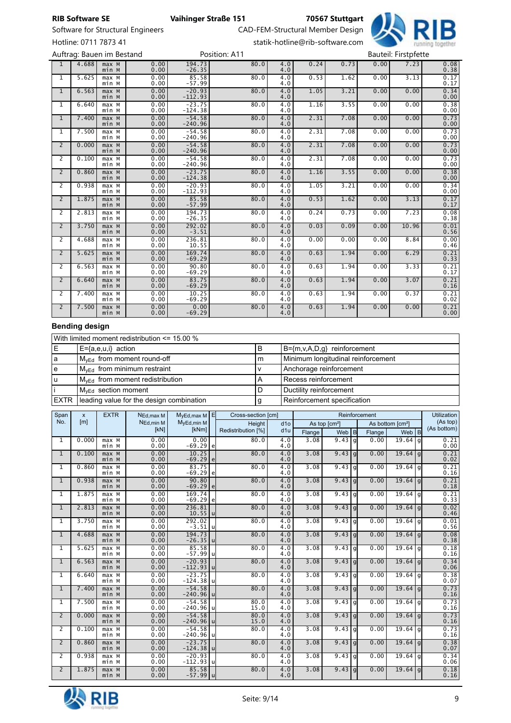Hotline: 0711 7873 41 statik-hotline@rib-software.com

RIB Software SE Vaihinger Straße 151 70567 Stuttgart

Software for Structural Engineers CAD-FEM-Structural Member Design



1 | 4.688 | max M<br>| min M 0.00 0.00 194.73 -26.35 80.0 4.0 4.0 0.24 0.73 0.00 7.23 0.08 0.38 1 5.625 max M min M 0.00 0.00 85.58 -57.99  $80.0$  $\frac{4.0}{4.0}$  $\begin{array}{c|c} 0.53 & 1.62 & 0.00 & 3.13 & 0.17 \ 0.17 & & 0.17 & \end{array}$ 1 6.563 max M min M 0.00 0.00 -20.93 -112.93  $80.0$  $\frac{4.0}{4.0}$ 1.05 3.21 0.00 0.00 0.34 0.00 1 | 6.640 | max M<br>min M 0.00 0.00 -23.75 -124.38  $80.0$  $\frac{4.0}{4.0}$ 1.16 3.55 0.00 0.00 0.38 0.00 1 7.400 | max M<br>min M 0.00 0.00 -54.58 -240.96  $80.0$  $\overline{4.0}$ <br> $4.0$ 2.31 7.08 0.00 0.00 0.73<br>0.00 0.00 1 7.500 max M<br>min M 0.00 0.00 -54.58 -240.96 80.0 4.0 4.0 2.31 7.08 0.00 0.00 0.73<br>0.00 0.00 2 0.000 max M<br>min M 0.00 0.00 -54.58 -240.96  $80.0$  $\overline{4.0}$ <br> $4.0$ 2.31 7.08 0.00 0.00 0.73<br>0.00 0.00 2 0.100 max M<br>min M 0.00 0.00 -54.58 -240.96  $80.0$  $\frac{4.0}{4.0}$ 2.31 7.08 0.00 0.00 0.73<br>0.00 0.00  $2 \mid 0.860$  $max$   $M$ <br> $min$   $M$ 0.00 0.00 -23.75 -124.38  $80.0$  $\overline{4.0}$ <br> $\overline{4.0}$ 1.16 3.55 0.00 0.00 0.38 0.00 2 | 0.938 | max M<br>min M 0.00 0.00 -20.93 -112.93  $80.0$  $\frac{4.0}{4.0}$ 1.05 3.21 0.00 0.00 0.34 0.00 2 | 1.875 | max M<br>min M 0.00 0.00 85.58 -57.99  $80.0$  $4.0$ <br> $4.0$  $\begin{array}{c|c} 0.53 & 1.62 & 0.00 & 3.13 & 0.17 \ 0.17 & & 0.17 & \ \end{array}$ 2 2.813 max M min M 0.00 0.00 194.73 -26.35  $80.0$  $\frac{4.0}{4.0}$ 0.24 0.73 0.00 7.23 0.08 0.38  $2 \mid 3.750$ max M<br>min M 0.00 0.00 292.02 -3.51  $80.0$  $\frac{4.0}{4.0}$  $\begin{array}{|c|c|c|c|c|c|c|c|c|} \hline 0.03 & 0.09 & 0.00 & 10.96 \ \hline \end{array}$  $0.01$ <br> $0.56$ 2 | 4.688 | max M<br>min M 0.00 0.00 236.81 10.55  $80.0$  $\frac{4.0}{4.0}$ 0.00 0.00 0.00 0.00<br>0.46 0.46 2 5.625 max M min M 0.00 0.00 169.74 -69.29  $80.0$  $\frac{4.0}{4.0}$ 0.63 1.94 0.00 6.29 0.21<br>0.33 2 | 6.563 | max M<br>min M 0.00 0.00 90.80 -69.29  $80.0$  $\frac{4.0}{4.0}$ 0.63 1.94 0.00 3.33 0.21<br>0.17  $2 | 6.640$  $\begin{array}{c} \mathtt{max} & \mathtt{M} \\ \mathtt{min} & \mathtt{M} \end{array}$ 0.00 0.00 83.75 -69.29 80.0 4.0 4.0 0.63 1.94 0.00 3.07 0.21<br>0.16 2 7.400 max M<br>min M 0.00 0.00 10.25 -69.29  $80.0$  $\frac{4.0}{4.0}$ 0.63 1.94 0.00 0.37 0.21<br>0.02  $2 \mid 7.500$  $max$   $M$ <br> $min$   $M$ 0.00 0.00 0.00 -69.29  $80.0$  $\frac{4.0}{4.0}$ 0.63 1.94 0.00 0.00 0.21<br>0.00 0.00 Auftrag: Bauen im Bestand **Bauteil: Firstpfette** Position: A11 Bauteil: Firstpfette

#### Bending design

|      | With limited moment redistribution $\leq$ 15.00 % |   |                                    |  |  |  |  |  |  |  |
|------|---------------------------------------------------|---|------------------------------------|--|--|--|--|--|--|--|
| Е    | $E = \{a, e, u, i\}$ action                       | в | B={m,v,A,D,g} reinforcement        |  |  |  |  |  |  |  |
| a    | $M_{\text{VEd}}$ from moment round-off            | m | Minimum longitudinal reinforcement |  |  |  |  |  |  |  |
|      | $M_{yEd}$ from minimum restraint                  |   | Anchorage reinforcement            |  |  |  |  |  |  |  |
|      | $M_{VEd}$ from moment redistribution              | Α | Recess reinforcement               |  |  |  |  |  |  |  |
|      | $M_{\text{VEd}}$ section moment                   | D | Ductility reinforcement            |  |  |  |  |  |  |  |
| EXTR | leading value for the design combination          | g | Reinforcement specification        |  |  |  |  |  |  |  |

| Span           | $\pmb{\mathsf{x}}$ | <b>EXTR</b>                 | NEd, max M            | $M_yEd, max M E$        | Cross-section [cm] |                    |                         | Reinforcement |                           |   |        |                              |      | Utilization             |
|----------------|--------------------|-----------------------------|-----------------------|-------------------------|--------------------|--------------------|-------------------------|---------------|---------------------------|---|--------|------------------------------|------|-------------------------|
| No.            | [ <sub>m</sub> ]   |                             | N <sub>Ed.min</sub> M | MyEd, min M             |                    | Height             | d10                     |               | As top [cm <sup>2</sup> ] |   |        | As bottom [cm <sup>2</sup> ] |      | (As top)<br>(As bottom) |
|                |                    |                             | [kN]                  | [kNm]                   |                    | Redistribution [%] | d <sub>1u</sub>         | Flange        | Web $ B $                 |   | Flange | Web $ B $                    |      |                         |
| $\mathbf{1}$   | 0.000              | max M<br>min M              | 0.00<br>0.00          | 0.00<br>$-69.29 e $     |                    | 80.0               | 4.0<br>4.0              | 3.08          | 9.43 q                    |   | 0.00   | 19.64                        | l gl | 0.21<br>0.00            |
| $\mathbf{1}$   | 0.100              | max M<br>min M              | 0.00<br>0.00          | 10.25<br>$-69.29$ e     |                    | 80.0               | 4.0<br>4.0              | 3.08          | 9.43 g                    |   | 0.00   | $19.64$ g                    |      | 0.21<br>0.02            |
| $\mathbf{1}$   | 0.860              | max M<br>min M              | 0.00<br>0.00          | 83.75<br>$-69.29$ e     |                    | 80.0               | 4.0<br>4.0              | 3.08          | $9.43$ g                  |   | 0.00   | $19.64$ g                    |      | 0.21<br>0.16            |
| $\mathbf{1}$   | 0.938              | max M<br>min M              | 0.00<br>0.00          | 90.80<br>$-69.29$ e     |                    | 80.0               | 4.0<br>4.0              | 3.08          | 9.43 q                    |   | 0.00   | $19.64$ g                    |      | 0.21<br>0.18            |
| 1              | 1.875              | max M<br>min M              | 0.00<br>0.00          | 169.74<br>$-69.29$ e    |                    | 80.0               | 4.0<br>4.0              | 3.08          | 9.43                      | q | 0.00   | 19.64                        | l al | $\frac{0.21}{0.33}$     |
| $\mathbf{1}$   | 2.813              | max M<br>min M              | 0.00<br>0.00          | 236.81<br>$10.55$ u     |                    | 80.0               | 4.0<br>4.0              | 3.08          | $9.43$ g                  |   | 0.00   | $19.64$ g                    |      | 0.02<br>0.46            |
| $\mathbf{1}$   | 3.750              | $max$ M<br>min M            | 0.00<br>0.00          | 292.02<br>$-3.51$ u     |                    | 80.0               | $\overline{4.0}$<br>4.0 | 3.08          | 9.43 q                    |   | 0.00   | $19.64$ g                    |      | 0.01<br>0.56            |
| $\mathbf{1}$   | 4.688              | $max$ <sub>M</sub><br>min M | 0.00<br>0.00          | 194.73<br>$-26.35$ u    |                    | 80.0               | 4.0<br>4.0              | 3.08          | 9.43 q                    |   | 0.00   | $19.64$ g                    |      | 0.08<br>0.38            |
| 1              | 5.625              | $max$ M<br>min M            | 0.00<br>0.00          | 85.58<br>$-57.99$ u     |                    | 80.0               | $\overline{4.0}$<br>4.0 | 3.08          | $9.43$ g                  |   | 0.00   | $19.64$ g                    |      | 0.18<br>0.16            |
| $\mathbf{1}$   | 6.563              | $max$ M<br>min M            | 0.00<br>0.00          | $-20.93$<br>$-112.93$ u |                    | 80.0               | 4.0<br>4.0              | 3.08          | $9.43$ g                  |   | 0.00   | $19.64$ g                    |      | 0.34<br>0.06            |
| $\mathbf{1}$   | 6.640              | $max$ M<br>min M            | 0.00<br>0.00          | $-23.75$<br>$-124.38$ u |                    | 80.0               | $\overline{4.0}$<br>4.0 | 3.08          | $9.43$ g                  |   | 0.00   | $19.64$ g                    |      | 0.38<br>0.07            |
| $\mathbf{1}$   | 7.400              | $max$ <sub>M</sub><br>min M | 0.00<br>0.00          | $-54.58$<br>$-240.96$ u |                    | 80.0               | 4.0<br>4.0              | 3.08          | $9.43$ g                  |   | 0.00   | $19.64$ g                    |      | 0.73<br>0.16            |
| $\mathbf{1}$   | 7.500              | $max$ M<br>min M            | 0.00<br>0.00          | $-54.58$<br>$-240.96$ u |                    | 80.0<br>15.0       | 4.0<br>4.0              | 3.08          | 9.43 q                    |   | 0.00   | $19.64$ g                    |      | 0.73<br>0.16            |
| $\overline{2}$ | 0.000              | max M<br>min M              | 0.00<br>0.00          | $-54.58$<br>$-240.96$ u |                    | 80.0<br>15.0       | 4.0<br>4.0              | 3.08          | 9.43 g                    |   | 0.00   | $19.64$ g                    |      | 0.73<br>0.16            |
| $\overline{2}$ | 0.100              | max M<br>min M              | 0.00<br>0.00          | $-54.58$<br>$-240.96$ u |                    | 80.0               | 4.0<br>4.0              | 3.08          | 9.43 q                    |   | 0.00   | $19.64$ g                    |      | 0.73<br>0.16            |
| $\overline{2}$ | 0.860              | $max$ <sub>M</sub><br>min M | 0.00<br>0.00          | $-23.75$<br>$-124.38$ u |                    | 80.0               | 4.0<br>4.0              | 3.08          | 9.43 q                    |   | 0.00   | $19.64$   a                  |      | 0.38<br>0.07            |
| 2              | 0.938              | max M<br>min M              | 0.00<br>0.00          | $-20.93$<br>$-112.93$ u |                    | 80.0               | $\overline{4.0}$<br>4.0 | 3.08          | 9.43 q                    |   | 0.00   | $19.64$   a                  |      | 0.34<br>0.06            |
| $\overline{2}$ | 1.875              | max M<br>min M              | 0.00<br>0.00          | 85.58<br>$-57.99$  u    |                    | 80.0               | 4.0<br>4.0              | 3.08          | 9.43 q                    |   | 0.00   | 19.64 q                      |      | 0.18<br>0.16            |

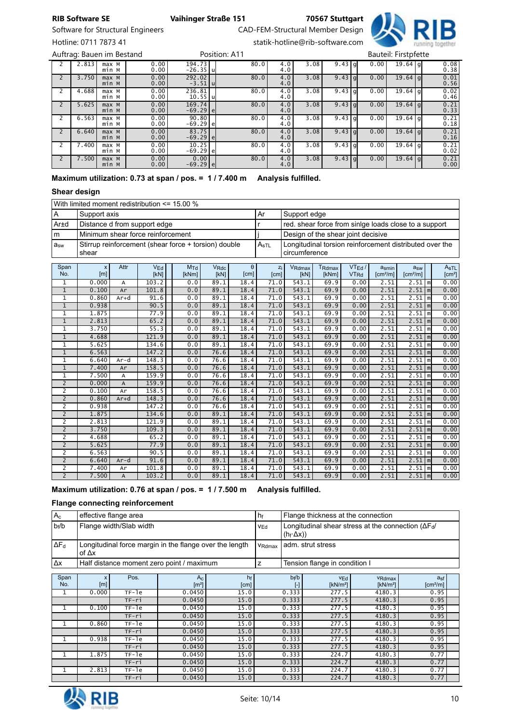Software for Structural Engineers CAD-FEM-Structural Member Design Hotline: 0711 7873 41 statik-hotline@rib-software.com

RIB Software SE Vaihinger Straße 151 70567 Stuttgart



2 2.813 | max M<br>| min M 0.00 0.00 194.73 -26.35 u  $80.0$  $\frac{4.0}{4.0}$  $3.08$  9.43 g 0.00 19.64  $0.08$ <br> $0.38$ 2 3.750 max M<br>min M 0.00 0.00 292.02 -3.51 u 80.0 4.0 4.0  $3.08$  9.43 g 0.00 19.64  $0.01$ <br> $0.56$ 2 | 4.688 | max M<br>min M 0.00 0.00 236.81 10.55 u  $80.0$  $\frac{4.0}{4.0}$  $3.08$   $9.43$  g 0.00 19.64  $\overline{0.02}$ <br>0.46 2 5.625 max M min M 0.00 0.00 169.74 -69.29 e  $80.0$  $\frac{4.0}{4.0}$  $3.08$   $9.43$  g 0.00 19.64  $0.21$ <br> $0.33$ 2 | 6.563 | max M<br>min M 0.00 0.00 90.80 80.0 4.0<br>69.29 e 80.0 4.0  $\frac{4.0}{4.0}$  $3.08$   $9.43$  g 0.00 19.64  $\frac{0.21}{0.18}$ 2 | 6.640 | max M<br>min M 0.00 0.00 83.75 80.0 4.0<br>69.29 e 80.0 4.0  $\frac{4.0}{4.0}$  $3.08$   $9.43$  g 0.00 19.64  $0.21$ <br> $0.16$ 2 7.400 max M<br>min M 0.00 0.00 10.25 -69.29 e  $80.0$  $\frac{4.0}{4.0}$  $3.08$   $9.43$   $9$   $0.00$   $19.64$   $9$   $0.21$ 2 | 7.500 | max M<br>min M 0.00 0.00  $\begin{array}{c|c} 0.00 & 80.0 & 4.0 \\ -69.29 & e & 4.0 \end{array}$  $\frac{4.0}{4.0}$  $3.08$  9.43 g 0.00 19.64  $0.21$ <br> $0.00$ Auftrag: Bauen im Bestand **Bautes Exercise Constant Constant Position: A11** Bauteil: Firstpfette

Maximum utilization: 0.73 at span / pos. = 1 / 7.400 m Analysis fulfilled.

### Shear design

With limited moment redistribution <= 15.00 %

| ١A        | l Support axis                                                | Ar                                 | Support edge                                                               |
|-----------|---------------------------------------------------------------|------------------------------------|----------------------------------------------------------------------------|
| Ar±d      | Distance d from support edge                                  |                                    | red. shear force from sinige loads close to a support                      |
| l m       | Minimum shear force reinforcement                             |                                    | Design of the shear joint decisive                                         |
| $ a_{sw}$ | Stirrup reinforcement (shear force + torsion) double<br>shear | $^{\shortparallel}$ A $_{\rm sTL}$ | Longitudinal torsion reinforcement distributed over the<br>l circumference |

| Span           | X     | Attr           | VEd   | MTd   | <b>V<sub>Rdc</sub></b> | $\theta$ | Zi   | VRdmax | T <sub>Rdmax</sub> | VTEd /                 | asmin                | a <sub>sw</sub>      |                     | AsTL               |
|----------------|-------|----------------|-------|-------|------------------------|----------|------|--------|--------------------|------------------------|----------------------|----------------------|---------------------|--------------------|
| No.            | [m]   |                | [kN]  | [kNm] | [KN]                   | [cm]     | [cm] | [kN]   | [kNm]              | <b>VT<sub>Rd</sub></b> | [cm <sup>2</sup> /m] | [cm <sup>2</sup> /m] |                     | [cm <sup>2</sup> ] |
| 1              | 0.000 | A              | 103.2 | 0.0   | 89.1                   | 18.4     | 71.0 | 543.1  | 69.9               | 0.00                   | 2.51                 | $2.51$   m           |                     | 0.00               |
| $\mathbf{1}$   | 0.100 | Ar             | 101.8 | 0.0   | 89.1                   | 18.4     | 71.0 | 543.1  | 69.9               | 0.00                   | 2.51                 | $2.51$ $m$           |                     | 0.00               |
| 1              | 0.860 | $Ar+d$         | 91.6  | 0.0   | 89.1                   | 18.4     | 71.0 | 543.1  | 69.9               | 0.00                   | 2.51                 | 2.51                 | m                   | 0.00               |
| $\mathbf{1}$   | 0.938 |                | 90.5  | 0.0   | 89.1                   | 18.4     | 71.0 | 543.1  | 69.9               | 0.00                   | 2.51                 | $2.51$   m           |                     | 0.00               |
| $\mathbf{1}$   | 1.875 |                | 77.9  | 0.0   | 89.1                   | 18.4     | 71.0 | 543.1  | 69.9               | 0.00                   | 2.51                 | $2.51$   m           |                     | 0.00               |
| $\mathbf{1}$   | 2.813 |                | 65.2  | 0.0   | 89.1                   | 18.4     | 71.0 | 543.1  | 69.9               | 0.00                   | 2.51                 | $2.51$ $m$           |                     | 0.00               |
| 1              | 3.750 |                | 55.3  | 0.0   | 89.1                   | 18.4     | 71.0 | 543.1  | 69.9               | 0.00                   | 2.51                 | 2.51                 | $\lfloor m \rfloor$ | 0.00               |
| $\mathbf{1}$   | 4.688 |                | 121.9 | 0.0   | 89.1                   | 18.4     | 71.0 | 543.1  | 69.9               | 0.00                   | 2.51                 | $2.51$   m           |                     | 0.00               |
| $\mathbf{1}$   | 5.625 |                | 134.6 | 0.0   | 89.1                   | 18.4     | 71.0 | 543.1  | 69.9               | 0.00                   | 2.51                 | 2.51                 | l ml                | 0.00               |
| $\mathbf{1}$   | 6.563 |                | 147.2 | 0.0   | 76.6                   | 18.4     | 71.0 | 543.1  | 69.9               | 0.00                   | 2.51                 | $2.51$   m           |                     | 0.00               |
| $\mathbf 1$    | 6.640 | $Ar-d$         | 148.3 | 0.0   | 76.6                   | 18.4     | 71.0 | 543.1  | 69.9               | 0.00                   | 2.51                 | 2.51                 | l ml                | 0.00               |
| $1\,$          | 7.400 | Ar             | 158.5 | 0.0   | 76.6                   | 18.4     | 71.0 | 543.1  | 69.9               | 0.00                   | 2.51                 | $2.51$ $m$           |                     | 0.00               |
| 1              | 7.500 | A              | 159.9 | 0.0   | 76.6                   | 18.4     | 71.0 | 543.1  | 69.9               | 0.00                   | 2.51                 | 2.51                 | l ml                | 0.00               |
| $\overline{2}$ | 0.000 | $\overline{A}$ | 159.9 | 0.0   | 76.6                   | 18.4     | 71.0 | 543.1  | 69.9               | 0.00                   | 2.51                 | $2.51$ $m$           |                     | 0.00               |
| $\overline{c}$ | 0.100 | Ar             | 158.5 | 0.0   | 76.6                   | 18.4     | 71.0 | 543.1  | 69.9               | 0.00                   | 2.51                 | $2.51$   m           |                     | 0.00               |
| $\overline{2}$ | 0.860 | $Ar+d$         | 148.3 | 0.0   | 76.6                   | 18.4     | 71.0 | 543.1  | 69.9               | 0.00                   | 2.51                 | $2.51$   m           |                     | 0.00               |
| 2              | 0.938 |                | 147.2 | 0.0   | 76.6                   | 18.4     | 71.0 | 543.1  | 69.9               | 0.00                   | 2.51                 | 2.51                 | m                   | 0.00               |
| $\overline{2}$ | 1.875 |                | 134.6 | 0.0   | 89.1                   | 18.4     | 71.0 | 543.1  | 69.9               | 0.00                   | 2.51                 | $2.51$   m           |                     | 0.00               |
| 2              | 2.813 |                | 121.9 | 0.0   | 89.1                   | 18.4     | 71.0 | 543.1  | 69.9               | 0.00                   | 2.51                 | $2.51$   m           |                     | 0.00               |
| $\overline{2}$ | 3.750 |                | 109.3 | 0.0   | 89.1                   | 18.4     | 71.0 | 543.1  | 69.9               | 0.00                   | 2.51                 | $2.51$   m           |                     | 0.00               |
| $\overline{2}$ | 4.688 |                | 65.2  | 0.0   | 89.1                   | 18.4     | 71.0 | 543.1  | 69.9               | 0.00                   | 2.51                 | $2.51$ $m$           |                     | 0.00               |
| $\overline{2}$ | 5.625 |                | 77.9  | 0.0   | 89.1                   | 18.4     | 71.0 | 543.1  | 69.9               | 0.00                   | 2.51                 | $2.51$   m           |                     | 0.00               |
| $\overline{2}$ | 6.563 |                | 90.5  | 0.0   | 89.1                   | 18.4     | 71.0 | 543.1  | 69.9               | 0.00                   | 2.51                 | $2.51$ $m$           |                     | 0.00               |
| $\overline{2}$ | 6.640 | $Ar-d$         | 91.6  | 0.0   | 89.1                   | 18.4     | 71.0 | 543.1  | 69.9               | 0.00                   | 2.51                 | $2.51$   m           |                     | 0.00               |
| $\overline{2}$ | 7.400 | Ar             | 101.8 | 0.0   | 89.1                   | 18.4     | 71.0 | 543.1  | 69.9               | 0.00                   | 2.51                 | 2.51                 | $\mathsf{Im}$       | 0.00               |
| $\overline{2}$ | 7.500 | Α              | 103.2 | 0.0   | 89.1                   | 18.4     | 71.0 | 543.1  | 69.9               | 0.00                   | 2.51                 | $2.51$ $m$           |                     | 0.00               |

#### Maximum utilization: 0.76 at span / pos. = 1 / 7.500 m Analysis fulfilled.

#### Flange connecting reinforcement

| $A_{c}$            |                                                                                 | effective flange area   |                                                         |            | hf              |       | Flange thickness at the connection                                               |                                |                             |  |  |  |
|--------------------|---------------------------------------------------------------------------------|-------------------------|---------------------------------------------------------|------------|-----------------|-------|----------------------------------------------------------------------------------|--------------------------------|-----------------------------|--|--|--|
| $b_f/b$            |                                                                                 | Flange width/Slab width |                                                         |            | V <sub>Ed</sub> |       | Longitudinal shear stress at the connection ( $\Delta F_d$ /<br>$(h_f \Delta x)$ |                                |                             |  |  |  |
| $\Delta F_{\rm d}$ | of $\Delta x$                                                                   |                         | Longitudinal force margin in the flange over the length |            | VRdmax          |       | adm. strut stress                                                                |                                |                             |  |  |  |
| Δх                 | Half distance moment zero point / maximum<br>Tension flange in condition I<br>z |                         |                                                         |            |                 |       |                                                                                  |                                |                             |  |  |  |
| Span<br>No.        | x<br>[m]                                                                        | Pos.                    | $A_{C}$<br>$\left[\text{m}^2\right]$                    | hf<br>[cm] |                 | bf/b  | <b>VEd</b><br>[kN/m <sup>2</sup> ]                                               | VRdmax<br>[kN/m <sup>2</sup> ] | asf<br>[cm <sup>2</sup> /m] |  |  |  |
| 1                  | 0.000                                                                           | TF-le                   | 0.0450                                                  | 15.0       |                 | 0.333 | 277.5                                                                            | 4180.3                         | 0.95                        |  |  |  |
|                    |                                                                                 | $TF-ri$                 | 0.0450                                                  | 15.0       |                 | 0.333 | 277.5                                                                            | 4180.3                         | 0.95                        |  |  |  |
| 1                  | 0.100                                                                           | $TF-1e$                 | 0.0450                                                  | 15.0       |                 | 0.333 | 277.5                                                                            | 4180.3                         | 0.95                        |  |  |  |
|                    |                                                                                 | TF-ri                   | 0.0450                                                  | 15.0       |                 | 0.333 | 277.5                                                                            | 4180.3                         | 0.95                        |  |  |  |
| 1                  | 0.860                                                                           | $TF-1e$                 | 0.0450                                                  | 15.0       |                 | 0.333 | 277.5                                                                            | 4180.3                         | 0.95                        |  |  |  |
|                    |                                                                                 | $TF-ri$                 | 0.0450                                                  | 15.0       |                 | 0.333 | 277.5                                                                            | 4180.3                         | 0.95                        |  |  |  |
| 1                  | 0.938                                                                           | $TF-1e$                 | 0.0450                                                  | 15.0       |                 | 0.333 | 277.5                                                                            | 4180.3                         | 0.95                        |  |  |  |
|                    |                                                                                 | $TF-ri$                 | 0.0450                                                  | 15.0       |                 | 0.333 | 277.5                                                                            | 4180.3                         | 0.95                        |  |  |  |
| 1                  | 1.875                                                                           | $TF-1e$                 | 0.0450                                                  | 15.0       |                 | 0.333 | 224.7                                                                            | 4180.3                         | 0.77                        |  |  |  |
|                    |                                                                                 | $TF-ri$                 | 0.0450                                                  | 15.0       |                 | 0.333 | 224.7                                                                            | 4180.3                         | 0.77                        |  |  |  |
| 1                  | 2.813                                                                           | $TF-1e$                 | 0.0450                                                  | 15.0       |                 | 0.333 | 224.7                                                                            | 4180.3                         | 0.77                        |  |  |  |
|                    |                                                                                 | TF-ri                   | 0.0450                                                  | 15.0       |                 | 0.333 | 224.7                                                                            | 4180.3                         | 0.77                        |  |  |  |

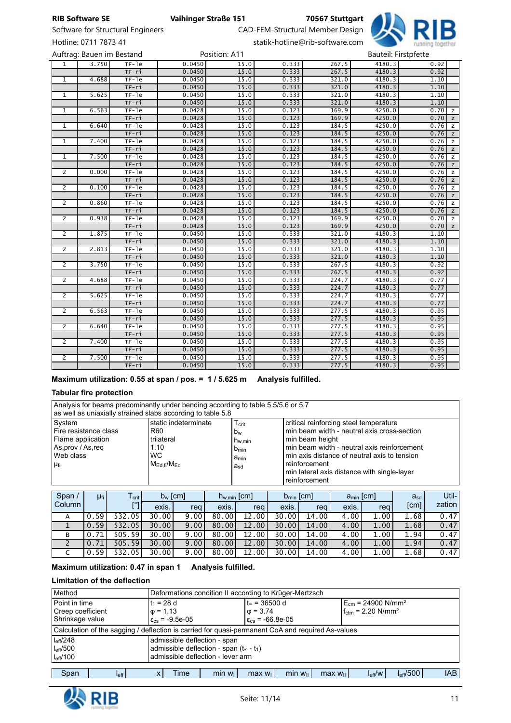

Software for Structural Engineers **CAD-FEM-Structural Member Design** Hotline: 0711 7873 41 statik-hotline@rib-software.com

Auftrag: Bauen im Bestand **Position: A11** Bauteil: First Position: A11

|                |       | Aurtiag. Dauen ini bestang |        | <b>FUSILIUII. AII</b> |       |       |        | Dautell. Filstpiette |                |
|----------------|-------|----------------------------|--------|-----------------------|-------|-------|--------|----------------------|----------------|
| $\overline{1}$ | 3.750 | $TF-1e$                    | 0.0450 | 15.0                  | 0.333 | 267.5 | 4180.3 | 0.92                 |                |
|                |       | $TF-ri$                    | 0.0450 | 15.0                  | 0.333 | 267.5 | 4180.3 | 0.92                 |                |
| $\mathbf{1}$   | 4.688 | $TF-1e$                    | 0.0450 | 15.0                  | 0.333 | 321.0 | 4180.3 | 1.10                 |                |
|                |       | $TF-ri$                    | 0.0450 | 15.0                  | 0.333 | 321.0 | 4180.3 | 1.10                 |                |
| $\mathbf{1}$   | 5.625 | $TF-1e$                    | 0.0450 | 15.0                  | 0.333 | 321.0 | 4180.3 | 1.10                 |                |
|                |       | $TF-ri$                    | 0.0450 | 15.0                  | 0.333 | 321.0 | 4180.3 | 1.10                 |                |
| 1              | 6.563 | $TF-1e$                    | 0.0428 | 15.0                  | 0.123 | 169.9 | 4250.0 | 0.70                 | $\mathsf{z}$   |
|                |       | $TF-ri$                    | 0.0428 | 15.0                  | 0.123 | 169.9 | 4250.0 | $0.70$ z             |                |
| 1              | 6.640 | $TF-1e$                    | 0.0428 | 15.0                  | 0.123 | 184.5 | 4250.0 | 0.76                 | $\mathbb{Z}$   |
|                |       | $TF-ri$                    | 0.0428 | 15.0                  | 0.123 | 184.5 | 4250.0 | $0.76$ z             |                |
| $\mathbf{1}$   | 7.400 | $TF-1e$                    | 0.0428 | 15.0                  | 0.123 | 184.5 | 4250.0 | 0.76                 | Z              |
|                |       | $TF-ri$                    | 0.0428 | 15.0                  | 0.123 | 184.5 | 4250.0 | $0.76$ $z$           |                |
| 1              | 7.500 | $TF-1e$                    | 0.0428 | 15.0                  | 0.123 | 184.5 | 4250.0 | 0.76                 | z              |
|                |       | $TF-ri$                    | 0.0428 | 15.0                  | 0.123 | 184.5 | 4250.0 | $0.76$ z             |                |
| 2              | 0.000 | $TF-1e$                    | 0.0428 | 15.0                  | 0.123 | 184.5 | 4250.0 | 0.76                 | $\mathbb{Z}$   |
|                |       | $TF-ri$                    | 0.0428 | 15.0                  | 0.123 | 184.5 | 4250.0 | $0.76$ z             |                |
| $\overline{2}$ | 0.100 | $TF-1e$                    | 0.0428 | 15.0                  | 0.123 | 184.5 | 4250.0 | 0.76                 | Z              |
|                |       | TF-ri                      | 0.0428 | 15.0                  | 0.123 | 184.5 | 4250.0 | $0.76$ z             |                |
| $\overline{2}$ | 0.860 | $TF-1e$                    | 0.0428 | 15.0                  | 0.123 | 184.5 | 4250.0 | 0.76                 | Z              |
|                |       | $TF-ri$                    | 0.0428 | 15.0                  | 0.123 | 184.5 | 4250.0 | $0.76$ $z$           |                |
| $\overline{2}$ | 0.938 | $TF-1e$                    | 0.0428 | 15.0                  | 0.123 | 169.9 | 4250.0 | 0.70                 | $\mathbb{Z}$   |
|                |       | $TF-ri$                    | 0.0428 | 15.0                  | 0.123 | 169.9 | 4250.0 | 0.70                 | $\overline{z}$ |
| $\overline{2}$ | 1.875 | $TF-1e$                    | 0.0450 | 15.0                  | 0.333 | 321.0 | 4180.3 | 1.10                 |                |
|                |       | $TF-ri$                    | 0.0450 | 15.0                  | 0.333 | 321.0 | 4180.3 | 1.10                 |                |
| 2              | 2.813 | $TF-1e$                    | 0.0450 | 15.0                  | 0.333 | 321.0 | 4180.3 | 1.10                 |                |
|                |       | $TF-ri$                    | 0.0450 | 15.0                  | 0.333 | 321.0 | 4180.3 | 1.10                 |                |
| $\overline{2}$ | 3.750 | $TF-1e$                    | 0.0450 | 15.0                  | 0.333 | 267.5 | 4180.3 | 0.92                 |                |
|                |       | $TF-ri$                    | 0.0450 | 15.0                  | 0.333 | 267.5 | 4180.3 | 0.92                 |                |
| $\overline{2}$ | 4.688 | $TF-1e$                    | 0.0450 | 15.0                  | 0.333 | 224.7 | 4180.3 | 0.77                 |                |
|                |       | $TF-ri$                    | 0.0450 | 15.0                  | 0.333 | 224.7 | 4180.3 | 0.77                 |                |
| $\overline{2}$ | 5.625 | $TF-1e$                    | 0.0450 | 15.0                  | 0.333 | 224.7 | 4180.3 | 0.77                 |                |
|                |       | TF-ri                      | 0.0450 | 15.0                  | 0.333 | 224.7 | 4180.3 | 0.77                 |                |
| $\overline{2}$ | 6.563 | $TF-1e$                    | 0.0450 | 15.0                  | 0.333 | 277.5 | 4180.3 | 0.95                 |                |
|                |       | $TF-ri$                    | 0.0450 | 15.0                  | 0.333 | 277.5 | 4180.3 | 0.95                 |                |
| $\overline{2}$ | 6.640 | $TF-1e$                    | 0.0450 | 15.0                  | 0.333 | 277.5 | 4180.3 | 0.95                 |                |
|                |       | TF-ri                      | 0.0450 | 15.0                  | 0.333 | 277.5 | 4180.3 | 0.95                 |                |
| $\overline{2}$ | 7.400 | $TF-1e$                    | 0.0450 | 15.0                  | 0.333 | 277.5 | 4180.3 | 0.95                 |                |
|                |       | $TF-ri$                    | 0.0450 | 15.0                  | 0.333 | 277.5 | 4180.3 | 0.95                 |                |
| 2              | 7.500 | TF-1e                      | 0.0450 | 15.0                  | 0.333 | 277.5 | 4180.3 | 0.95                 |                |
|                |       | $TF-ri$                    | 0.0450 | 15.0                  | 0.333 | 277.5 | 4180.3 | 0.95                 |                |

Maximum utilization: 0.55 at span / pos. = 1 / 5.625 m Analysis fulfilled.

#### Tabular fire protection

| Analysis for beams predominantly under bending according to table 5.5/5.6 or 5.7<br>as well as uniaxially strained slabs according to table 5.8 |                                                                                                       |                                                                                            |                                                                                                                                                                                                                                                                                          |  |  |  |  |  |  |  |  |
|-------------------------------------------------------------------------------------------------------------------------------------------------|-------------------------------------------------------------------------------------------------------|--------------------------------------------------------------------------------------------|------------------------------------------------------------------------------------------------------------------------------------------------------------------------------------------------------------------------------------------------------------------------------------------|--|--|--|--|--|--|--|--|
| System<br>Fire resistance class<br>Flame application<br>As, prov / As, req<br>Web class<br>Ufi                                                  | static indeterminate<br>R <sub>60</sub><br>trilateral<br>1.10<br><b>WC</b><br>$M_{Edtext{fi}}/M_{Ed}$ | $T_{\rm crit}$<br>$b_w$<br>$h_{w,min}$<br>$b_{\text{min}}$<br>a <sub>min</sub><br>$a_{sd}$ | critical reinforcing steel temperature<br>min beam width - neutral axis cross-section<br>min beam height<br>min beam width - neutral axis reinforcement<br>min axis distance of neutral axis to tension<br>reinforcement<br>min lateral axis distance with single-layer<br>reinforcement |  |  |  |  |  |  |  |  |

| Span / | μ <sub>fi</sub> | l crit     | $b_w$ [cm] |      |       |                        | $b_{\min}$ [cm]<br>$h_{w,min}$ [cm] |       | $a_{\min}$ [cm]   |      | $a_{sd}$ | Util-  |
|--------|-----------------|------------|------------|------|-------|------------------------|-------------------------------------|-------|-------------------|------|----------|--------|
| Column |                 | <b>ro</b>  | exis.      | reg  | exis. | reg                    | exis.                               | rea l | exis.             | rea  | [cm]     | zation |
| A      | .59<br>0        | 532<br>.05 | 30.00      | 9.00 | 80.00 | 00<br>12.              | 30.00                               | 14.00 | $.00 \cdot$<br>4. | 1.00 | 1.68     | 0.47   |
|        | .59'<br>0       | .05<br>532 | 30.00      | 9.00 | 80.00 | 00 <sup>°</sup><br>12. | 30.00                               | 14.00 | 4.00              | 1.00 | 1.68     | 0.47   |
| в      | 0.71            | 505.59     | 30.00      | 9.00 | 80.00 | 00<br>12.              | 30.00                               | 14.00 | 4.00              | 1.00 | 1.94     | 0.47   |
|        | .71<br>0        | 505.59     | 30.00      | 9.00 | 80.00 | $00\,$<br>12.          | 30.00                               | 14.00 | 4.00              | 1.00 | 1.94     | 0.47   |
|        | .59             | .05<br>532 | 30.00      | 9.00 | 80.00 | 00<br>12               | 30.00                               | 14.00 | 4.00              | 1.00 | 1.68     | 0.47   |

### Maximum utilization: 0.47 in span 1 Analysis fulfilled.

### Limitation of the deflection

| Method                                                                                                                                                                    | Deformations condition II according to Krüger-Mertzsch                                            |  |                                                                |  |  |  |                                                                              |  |  |  |  |  |
|---------------------------------------------------------------------------------------------------------------------------------------------------------------------------|---------------------------------------------------------------------------------------------------|--|----------------------------------------------------------------|--|--|--|------------------------------------------------------------------------------|--|--|--|--|--|
| Point in time<br>Creep coefficient                                                                                                                                        |                                                                                                   |  | t∞ = 36500 d<br>$t_1 = 28$ d<br>$\phi = 1.13$<br>$\phi = 3.74$ |  |  |  | $E_{cm}$ = 24900 N/mm <sup>2</sup><br>$f_{\text{ctm}} = 2.20 \text{ N/mm}^2$ |  |  |  |  |  |
| Shrinkage value                                                                                                                                                           |                                                                                                   |  | $\epsilon_{cs}$ = -9.5e-05<br>$\epsilon_{cs}$ = -66.8e-05      |  |  |  |                                                                              |  |  |  |  |  |
|                                                                                                                                                                           | Calculation of the sagging / deflection is carried for quasi-permanent CoA and required As-values |  |                                                                |  |  |  |                                                                              |  |  |  |  |  |
| $I_{\text{eff}}/248$                                                                                                                                                      |                                                                                                   |  | admissible deflection - span                                   |  |  |  |                                                                              |  |  |  |  |  |
| I <sub>eff</sub> /500                                                                                                                                                     |                                                                                                   |  | admissible deflection - span $(t_{\infty} - t_1)$              |  |  |  |                                                                              |  |  |  |  |  |
| admissible deflection - lever arm<br>$I_{\text{eff}}/100$                                                                                                                 |                                                                                                   |  |                                                                |  |  |  |                                                                              |  |  |  |  |  |
|                                                                                                                                                                           |                                                                                                   |  |                                                                |  |  |  |                                                                              |  |  |  |  |  |
| $I_{\text{eff}}$ /500<br>Span<br>min w <sub>  </sub><br>$I_{\text{eff}}/W$<br>min w <sub>1</sub><br>Time<br>$max w_{\parallel}$<br>max w <sub>1</sub><br>$I_{\text{eff}}$ |                                                                                                   |  |                                                                |  |  |  | <b>IAB</b>                                                                   |  |  |  |  |  |

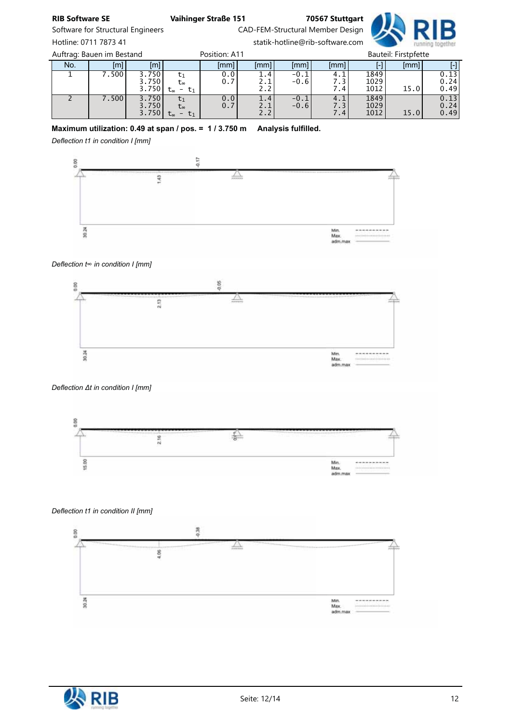Software for Structural Engineers CAD-FEM-Structural Member Design Hotline: 0711 7873 41 statik-hotline@rib-software.com

No. | [m]| [m]| | [mm]| [mm]| [mm]| [mm]| [-]| [mm]| [-] 1 7.500 3.750 3.750 3.750  $t_1$ t∞ t<sup>∞</sup> - t1 0.0 0.7 1.4 2.1 2.2 -0.1 -0.6 4.1 7.3 7.4 1849 1029  $1012$  15.0 0.13 0.24 0.49 2 7.500 3.750 3.750 3.750  $t<sub>1</sub>$ t∞ t<sup>∞</sup> - t1 0.0 0.7 1.4 2.1 2.2 -0.1 -0.6 4.1 7.3 7.4 1849 1029 15.0 0.13 0.24 0.49 Auftrag: Bauen im Bestand **Bauteil: Firstpfette** Position: A11 Bauteil: Firstpfette

## Maximum utilization: 0.49 at span / pos. = 1 / 3.750 m Analysis fulfilled.

*Deflection t1 in condition I [mm]*



#### *Deflection t*∞ *in condition I [mm]*



#### *Deflection* Δ*t in condition I [mm]*



#### *Deflection t1 in condition II [mm]*



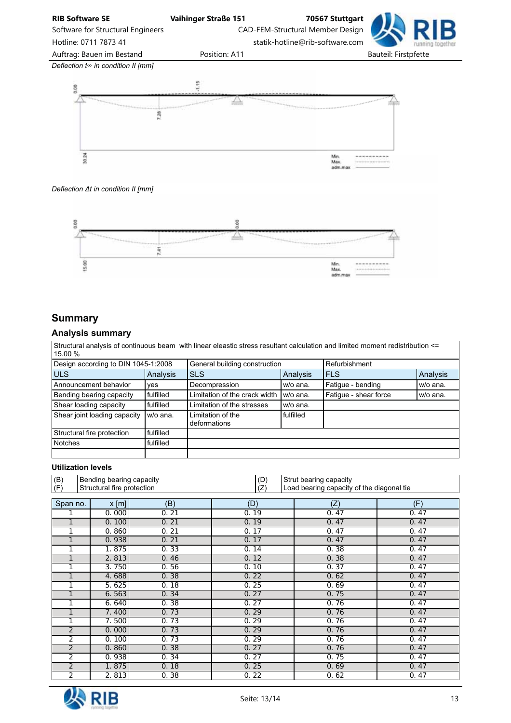

#### *Deflection* Δ*t in condition II [mm]*



## **Summary**

### Analysis summary

|                                                      | Structural analysis of continuous beam with linear eleastic stress resultant calculation and limited moment redistribution $\leq$ |               |
|------------------------------------------------------|-----------------------------------------------------------------------------------------------------------------------------------|---------------|
| $15.00\%$                                            |                                                                                                                                   |               |
| $\overline{R}$ Design association to DIN 1015 1:2009 | Conoral building conotruction                                                                                                     | Dofurbiohmont |

| Design according to DIN 1045-1:2008 |           | General building construction                  |           | Refurbishment         |          |
|-------------------------------------|-----------|------------------------------------------------|-----------|-----------------------|----------|
| <b>ULS</b>                          | Analysis  | <b>SLS</b>                                     | Analysis  | <b>FLS</b>            | Analysis |
| Announcement behavior               | yes       | Decompression                                  | w/o ana.  | Fatigue - bending     | w/o ana. |
| Bending bearing capacity            | fulfilled | Limitation of the crack width $ w\rangle$ ana. |           | Fatique - shear force | w/o ana. |
| Shear loading capacity              | fulfilled | Limitation of the stresses                     | w/o ana.  |                       |          |
| Shear joint loading capacity        | w/o ana.  | Limitation of the<br>deformations              | fulfilled |                       |          |
| Structural fire protection          | fulfilled |                                                |           |                       |          |
| <b>Notches</b>                      | fulfilled |                                                |           |                       |          |
|                                     |           |                                                |           |                       |          |

### Utilization levels

| (B)<br>(F)     |         | Bending bearing capacity<br>(D)<br>Strut bearing capacity<br>Structural fire protection<br>(Z) |      |      | Load bearing capacity of the diagonal tie |
|----------------|---------|------------------------------------------------------------------------------------------------|------|------|-------------------------------------------|
|                |         |                                                                                                |      |      |                                           |
| Span no.       | $x$ [m] | (B)                                                                                            | (D)  | (Z)  | (F)                                       |
|                | 0.000   | 0.21                                                                                           | 0.19 | 0.47 | 0.47                                      |
| 1              | 0.100   | 0.21                                                                                           | 0.19 | 0.47 | 0.47                                      |
| 1              | 0.860   | 0.21                                                                                           | 0.17 | 0.47 | 0.47                                      |
| 1              | 0.938   | 0.21                                                                                           | 0.17 | 0.47 | 0.47                                      |
| 1              | 1.875   | 0.33                                                                                           | 0.14 | 0.38 | 0.47                                      |
| 1              | 2.813   | 0.46                                                                                           | 0.12 | 0.38 | 0.47                                      |
| 1              | 3.750   | 0.56                                                                                           | 0.10 | 0.37 | 0.47                                      |
| 1              | 4.688   | 0.38                                                                                           | 0.22 | 0.62 | 0.47                                      |
| 1              | 5.625   | 0.18                                                                                           | 0.25 | 0.69 | 0.47                                      |
| 1              | 6.563   | 0.34                                                                                           | 0.27 | 0.75 | 0.47                                      |
| 1              | 6.640   | 0.38                                                                                           | 0.27 | 0.76 | 0.47                                      |
| 1              | 7.400   | 0.73                                                                                           | 0.29 | 0.76 | 0.47                                      |
| 1              | 7.500   | 0.73                                                                                           | 0.29 | 0.76 | 0.47                                      |
| $\overline{2}$ | 0.000   | 0.73                                                                                           | 0.29 | 0.76 | 0.47                                      |
| $\overline{2}$ | 0.100   | 0.73                                                                                           | 0.29 | 0.76 | 0.47                                      |
| $\overline{2}$ | 0.860   | 0.38                                                                                           | 0.27 | 0.76 | 0.47                                      |
| 2              | 0.938   | 0.34                                                                                           | 0.27 | 0.75 | 0.47                                      |
| 2              | 1.875   | 0.18                                                                                           | 0.25 | 0.69 | 0.47                                      |
| 2              | 2.813   | 0.38                                                                                           | 0.22 | 0.62 | 0.47                                      |